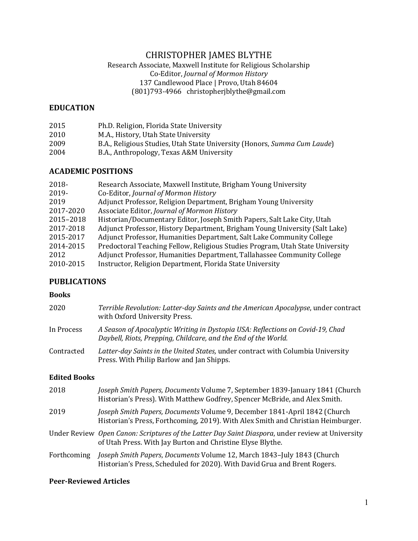# CHRISTOPHER JAMES BLYTHE

### Research Associate, Maxwell Institute for Religious Scholarship Co-Editor, *Journal of Mormon History* 137 Candlewood Place | Provo, Utah 84604 (801)793-4966 christopherjblythe@gmail.com

#### **EDUCATION**

| 2015 | Ph.D. Religion, Florida State University                                 |
|------|--------------------------------------------------------------------------|
| 2010 | M.A., History, Utah State University                                     |
| 2009 | B.A., Religious Studies, Utah State University (Honors, Summa Cum Laude) |
| 2004 | B.A., Anthropology, Texas A&M University                                 |

### **ACADEMIC POSITIONS**

| 2018-     | Research Associate, Maxwell Institute, Brigham Young University               |
|-----------|-------------------------------------------------------------------------------|
| 2019-     | Co-Editor, Journal of Mormon History                                          |
| 2019      | Adjunct Professor, Religion Department, Brigham Young University              |
| 2017-2020 | Associate Editor, Journal of Mormon History                                   |
| 2015-2018 | Historian/Documentary Editor, Joseph Smith Papers, Salt Lake City, Utah       |
| 2017-2018 | Adjunct Professor, History Department, Brigham Young University (Salt Lake)   |
| 2015-2017 | Adjunct Professor, Humanities Department, Salt Lake Community College         |
| 2014-2015 | Predoctoral Teaching Fellow, Religious Studies Program, Utah State University |
| 2012      | Adjunct Professor, Humanities Department, Tallahassee Community College       |
| 2010-2015 | Instructor, Religion Department, Florida State University                     |
|           |                                                                               |

### **PUBLICATIONS**

### **Books**

| 2020       | Terrible Revolution: Latter-day Saints and the American Apocalypse, under contract<br>with Oxford University Press.                              |
|------------|--------------------------------------------------------------------------------------------------------------------------------------------------|
| In Process | A Season of Apocalyptic Writing in Dystopia USA: Reflections on Covid-19, Chad<br>Daybell, Riots, Prepping, Childcare, and the End of the World. |
| Contracted | Latter-day Saints in the United States, under contract with Columbia University<br>Press. With Philip Barlow and Jan Shipps.                     |

#### **Edited Books**

| 2018        | Joseph Smith Papers, Documents Volume 7, September 1839-January 1841 (Church<br>Historian's Press). With Matthew Godfrey, Spencer McBride, and Alex Smith.     |
|-------------|----------------------------------------------------------------------------------------------------------------------------------------------------------------|
| 2019        | Joseph Smith Papers, Documents Volume 9, December 1841-April 1842 (Church<br>Historian's Press, Forthcoming, 2019). With Alex Smith and Christian Heimburger.  |
|             | Under Review Open Canon: Scriptures of the Latter Day Saint Diaspora, under review at University<br>of Utah Press. With Jay Burton and Christine Elyse Blythe. |
| Forthcoming | Joseph Smith Papers, Documents Volume 12, March 1843-July 1843 (Church<br>Historian's Press, Scheduled for 2020). With David Grua and Brent Rogers.            |

# **Peer-Reviewed Articles**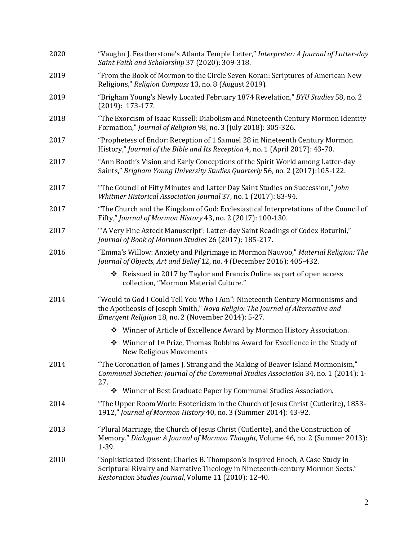| 2020 | "Vaughn J. Featherstone's Atlanta Temple Letter," Interpreter: A Journal of Latter-day<br>Saint Faith and Scholarship 37 (2020): 309-318.                                                                                |
|------|--------------------------------------------------------------------------------------------------------------------------------------------------------------------------------------------------------------------------|
| 2019 | "From the Book of Mormon to the Circle Seven Koran: Scriptures of American New<br>Religions," Religion Compass 13, no. 8 (August 2019).                                                                                  |
| 2019 | "Brigham Young's Newly Located February 1874 Revelation," BYU Studies 58, no. 2<br>$(2019): 173-177.$                                                                                                                    |
| 2018 | "The Exorcism of Isaac Russell: Diabolism and Nineteenth Century Mormon Identity<br>Formation," Journal of Religion 98, no. 3 (July 2018): 305-326.                                                                      |
| 2017 | "Prophetess of Endor: Reception of 1 Samuel 28 in Nineteenth Century Mormon<br>History," Journal of the Bible and Its Reception 4, no. 1 (April 2017): 43-70.                                                            |
| 2017 | "Ann Booth's Vision and Early Conceptions of the Spirit World among Latter-day<br>Saints," Brigham Young University Studies Quarterly 56, no. 2 (2017):105-122.                                                          |
| 2017 | "The Council of Fifty Minutes and Latter Day Saint Studies on Succession," John<br>Whitmer Historical Association Journal 37, no. 1 (2017): 83-94.                                                                       |
| 2017 | "The Church and the Kingdom of God: Ecclesiastical Interpretations of the Council of<br>Fifty," Journal of Mormon History 43, no. 2 (2017): 100-130.                                                                     |
| 2017 | "A Very Fine Azteck Manuscript': Latter-day Saint Readings of Codex Boturini,"<br>Journal of Book of Mormon Studies 26 (2017): 185-217.                                                                                  |
| 2016 | "Emma's Willow: Anxiety and Pilgrimage in Mormon Nauvoo," Material Religion: The<br>Journal of Objects, Art and Belief 12, no. 4 (December 2016): 405-432.                                                               |
|      | ❖ Reissued in 2017 by Taylor and Francis Online as part of open access<br>collection, "Mormon Material Culture."                                                                                                         |
| 2014 | "Would to God I Could Tell You Who I Am": Nineteenth Century Mormonisms and<br>the Apotheosis of Joseph Smith," Nova Religio: The Journal of Alternative and<br>Emergent Religion 18, no. 2 (November 2014): 5-27.       |
|      | ❖ Winner of Article of Excellence Award by Mormon History Association.                                                                                                                                                   |
|      | ❖ Winner of 1 <sup>st</sup> Prize, Thomas Robbins Award for Excellence in the Study of<br><b>New Religious Movements</b>                                                                                                 |
| 2014 | "The Coronation of James J. Strang and the Making of Beaver Island Mormonism,"<br>Communal Societies: Journal of the Communal Studies Association 34, no. 1 (2014): 1-<br>27.                                            |
|      | Winner of Best Graduate Paper by Communal Studies Association.<br>❖                                                                                                                                                      |
| 2014 | "The Upper Room Work: Esotericism in the Church of Jesus Christ (Cutlerite), 1853-<br>1912," Journal of Mormon History 40, no. 3 (Summer 2014): 43-92.                                                                   |
| 2013 | "Plural Marriage, the Church of Jesus Christ (Cutlerite), and the Construction of<br>Memory." Dialogue: A Journal of Mormon Thought, Volume 46, no. 2 (Summer 2013):<br>1-39.                                            |
| 2010 | "Sophisticated Dissent: Charles B. Thompson's Inspired Enoch, A Case Study in<br>Scriptural Rivalry and Narrative Theology in Nineteenth-century Mormon Sects."<br>Restoration Studies Journal, Volume 11 (2010): 12-40. |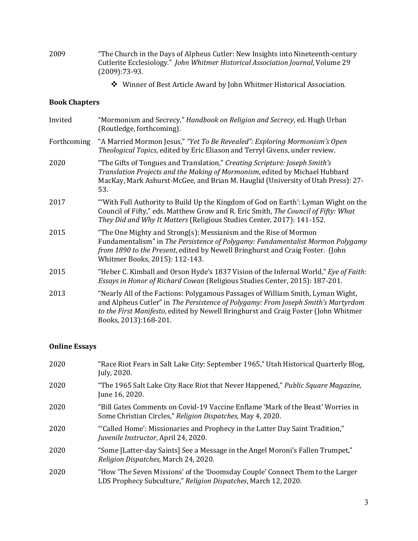- 2009 "The Church in the Days of Alpheus Cutler: New Insights into Nineteenth-century Cutlerite Ecclesiology." *John Whitmer Historical Association Journal*, Volume 29 (2009):73-93.
	- ◆ Winner of Best Article Award by John Whitmer Historical Association.

#### **Book Chapters**

| Invited     | "Mormonism and Secrecy," Handbook on Religion and Secrecy, ed. Hugh Urban<br>(Routledge, forthcoming).                                                                                                                                                                              |
|-------------|-------------------------------------------------------------------------------------------------------------------------------------------------------------------------------------------------------------------------------------------------------------------------------------|
| Forthcoming | "A Married Mormon Jesus," "Yet To Be Revealed": Exploring Mormonism's Open<br>Theological Topics, edited by Eric Eliason and Terryl Givens, under review.                                                                                                                           |
| 2020        | "The Gifts of Tongues and Translation," Creating Scripture: Joseph Smith's<br>Translation Projects and the Making of Mormonism, edited by Michael Hubbard<br>MacKay, Mark Ashurst-McGee, and Brian M. Hauglid (University of Utah Press): 27-<br>53.                                |
| 2017        | "With Full Authority to Build Up the Kingdom of God on Earth': Lyman Wight on the<br>Council of Fifty," eds. Matthew Grow and R. Eric Smith, The Council of Fifty: What<br>They Did and Why It Matters (Religious Studies Center, 2017): 141-152.                                   |
| 2015        | "The One Mighty and Strong(s): Messianism and the Rise of Mormon<br>Fundamentalism" in The Persistence of Polygamy: Fundamentalist Mormon Polygamy<br>from 1890 to the Present, edited by Newell Bringhurst and Craig Foster. (John<br>Whitmer Books, 2015): 112-143.               |
| 2015        | "Heber C. Kimball and Orson Hyde's 1837 Vision of the Infernal World," Eye of Faith:<br>Essays in Honor of Richard Cowan (Religious Studies Center, 2015): 187-201.                                                                                                                 |
| 2013        | "Nearly All of the Factions: Polygamous Passages of William Smith, Lyman Wight,<br>and Alpheus Cutler" in The Persistence of Polygamy: From Joseph Smith's Martyrdom<br>to the First Manifesto, edited by Newell Bringhurst and Craig Foster (John Whitmer<br>Books, 2013):168-201. |

# **Online Essays**

| 2020 | "Race Riot Fears in Salt Lake City: September 1965," Utah Historical Quarterly Blog,<br>July, 2020.                                             |
|------|-------------------------------------------------------------------------------------------------------------------------------------------------|
| 2020 | "The 1965 Salt Lake City Race Riot that Never Happened," Public Square Magazine,<br>June 16, 2020.                                              |
| 2020 | "Bill Gates Comments on Covid-19 Vaccine Enflame 'Mark of the Beast' Worries in<br>Some Christian Circles," Religion Dispatches, May 4, 2020.   |
| 2020 | "Called Home': Missionaries and Prophecy in the Latter Day Saint Tradition,"<br>Juvenile Instructor, April 24, 2020.                            |
| 2020 | "Some [Latter-day Saints] See a Message in the Angel Moroni's Fallen Trumpet,"<br>Religion Dispatches, March 24, 2020.                          |
| 2020 | "How 'The Seven Missions' of the 'Doomsday Couple' Connect Them to the Larger<br>LDS Prophecy Subculture," Religion Dispatches, March 12, 2020. |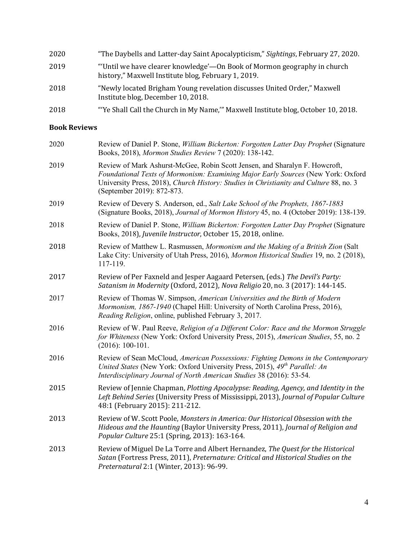| 2020 | "The Daybells and Latter-day Saint Apocalypticism," Sightings, February 27, 2020.                                              |
|------|--------------------------------------------------------------------------------------------------------------------------------|
| 2019 | "Until we have clearer knowledge'—On Book of Mormon geography in church<br>history," Maxwell Institute blog, February 1, 2019. |
| 2018 | "Newly located Brigham Young revelation discusses United Order," Maxwell<br>Institute blog, December 10, 2018.                 |
| 2018 | "Ye Shall Call the Church in My Name," Maxwell Institute blog, October 10, 2018.                                               |

#### **Book Reviews**

| 2020 | Review of Daniel P. Stone, <i>William Bickerton: Forgotten Latter Day Prophet</i> (Signature<br>Books, 2018), Mormon Studies Review 7 (2020): 138-142.                                                                                                                                  |
|------|-----------------------------------------------------------------------------------------------------------------------------------------------------------------------------------------------------------------------------------------------------------------------------------------|
| 2019 | Review of Mark Ashurst-McGee, Robin Scott Jensen, and Sharalyn F. Howcroft,<br>Foundational Texts of Mormonism: Examining Major Early Sources (New York: Oxford<br>University Press, 2018), Church History: Studies in Christianity and Culture 88, no. 3<br>(September 2019): 872-873. |
| 2019 | Review of Devery S. Anderson, ed., Salt Lake School of the Prophets, 1867-1883<br>(Signature Books, 2018), Journal of Mormon History 45, no. 4 (October 2019): 138-139.                                                                                                                 |
| 2018 | Review of Daniel P. Stone, William Bickerton: Forgotten Latter Day Prophet (Signature<br>Books, 2018), Juvenile Instructor, October 15, 2018, online.                                                                                                                                   |
| 2018 | Review of Matthew L. Rasmussen, Mormonism and the Making of a British Zion (Salt<br>Lake City: University of Utah Press, 2016), Mormon Historical Studies 19, no. 2 (2018),<br>117-119.                                                                                                 |
| 2017 | Review of Per Faxneld and Jesper Aagaard Petersen, (eds.) The Devil's Party:<br>Satanism in Modernity (Oxford, 2012), Nova Religio 20, no. 3 (2017): 144-145.                                                                                                                           |
| 2017 | Review of Thomas W. Simpson, American Universities and the Birth of Modern<br>Mormonism, 1867-1940 (Chapel Hill: University of North Carolina Press, 2016),<br>Reading Religion, online, published February 3, 2017.                                                                    |
| 2016 | Review of W. Paul Reeve, Religion of a Different Color: Race and the Mormon Struggle<br>for Whiteness (New York: Oxford University Press, 2015), American Studies, 55, no. 2<br>$(2016): 100-101.$                                                                                      |
| 2016 | Review of Sean McCloud, American Possessions: Fighting Demons in the Contemporary<br>United States (New York: Oxford University Press, 2015), 49th Parallel: An<br>Interdisciplinary Journal of North American Studies 38 (2016): 53-54.                                                |
| 2015 | Review of Jennie Chapman, Plotting Apocalypse: Reading, Agency, and Identity in the<br>Left Behind Series (University Press of Mississippi, 2013), Journal of Popular Culture<br>48:1 (February 2015): 211-212.                                                                         |
| 2013 | Review of W. Scott Poole, Monsters in America: Our Historical Obsession with the<br>Hideous and the Haunting (Baylor University Press, 2011), Journal of Religion and<br>Popular Culture 25:1 (Spring, 2013): 163-164.                                                                  |
| 2013 | Review of Miguel De La Torre and Albert Hernandez, The Quest for the Historical<br>Satan (Fortress Press, 2011), Preternature: Critical and Historical Studies on the<br>Preternatural 2:1 (Winter, 2013): 96-99.                                                                       |
|      |                                                                                                                                                                                                                                                                                         |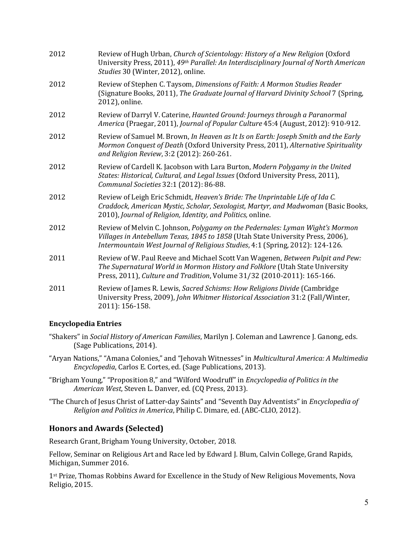| 2012 | Review of Hugh Urban, Church of Scientology: History of a New Religion (Oxford<br>University Press, 2011), 49th Parallel: An Interdisciplinary Journal of North American<br>Studies 30 (Winter, 2012), online.                                    |
|------|---------------------------------------------------------------------------------------------------------------------------------------------------------------------------------------------------------------------------------------------------|
| 2012 | Review of Stephen C. Taysom, Dimensions of Faith: A Mormon Studies Reader<br>(Signature Books, 2011), The Graduate Journal of Harvard Divinity School 7 (Spring,<br>2012), online.                                                                |
| 2012 | Review of Darryl V. Caterine, Haunted Ground: Journeys through a Paranormal<br>America (Praegar, 2011), Journal of Popular Culture 45:4 (August, 2012): 910-912.                                                                                  |
| 2012 | Review of Samuel M. Brown, In Heaven as It Is on Earth: Joseph Smith and the Early<br>Mormon Conquest of Death (Oxford University Press, 2011), Alternative Spirituality<br>and Religion Review, 3:2 (2012): 260-261.                             |
| 2012 | Review of Cardell K. Jacobson with Lara Burton, Modern Polygamy in the United<br>States: Historical, Cultural, and Legal Issues (Oxford University Press, 2011),<br>Communal Societies 32:1 (2012): 86-88.                                        |
| 2012 | Review of Leigh Eric Schmidt, Heaven's Bride: The Unprintable Life of Ida C.<br>Craddock, American Mystic, Scholar, Sexologist, Martyr, and Madwoman (Basic Books,<br>2010), Journal of Religion, Identity, and Politics, online.                 |
| 2012 | Review of Melvin C. Johnson, Polygamy on the Pedernales: Lyman Wight's Mormon<br>Villages in Antebellum Texas, 1845 to 1858 (Utah State University Press, 2006),<br>Intermountain West Journal of Religious Studies, 4:1 (Spring, 2012): 124-126. |
| 2011 | Review of W. Paul Reeve and Michael Scott Van Wagenen, Between Pulpit and Pew:<br>The Supernatural World in Mormon History and Folklore (Utah State University<br>Press, 2011), Culture and Tradition, Volume 31/32 (2010-2011): 165-166.         |
| 2011 | Review of James R. Lewis, Sacred Schisms: How Religions Divide (Cambridge<br>University Press, 2009), John Whitmer Historical Association 31:2 (Fall/Winter,<br>2011): 156-158.                                                                   |

### **Encyclopedia Entries**

- "Shakers" in *Social History of American Families*, Marilyn J. Coleman and Lawrence J. Ganong, eds. (Sage Publications, 2014).
- "Aryan Nations," "Amana Colonies," and "Jehovah Witnesses" in *Multicultural America: A Multimedia Encyclopedia*, Carlos E. Cortes, ed. (Sage Publications, 2013).
- "Brigham Young," "Proposition 8," and "Wilford Woodruff" in *Encyclopedia of Politics in the* American West, Steven L. Danver, ed. (CQ Press, 2013).
- "The Church of Jesus Christ of Latter-day Saints" and "Seventh Day Adventists" in *Encyclopedia of Religion and Politics in America*, Philip C. Dimare, ed. (ABC-CLIO, 2012).

# **Honors and Awards (Selected)**

Research Grant, Brigham Young University, October, 2018.

Fellow, Seminar on Religious Art and Race led by Edward J. Blum, Calvin College, Grand Rapids, Michigan, Summer 2016.

 $1<sup>st</sup> Prize, Thomas Robbins Award for Excellence in the Study of New Religious Movements, Nova$ Religio, 2015.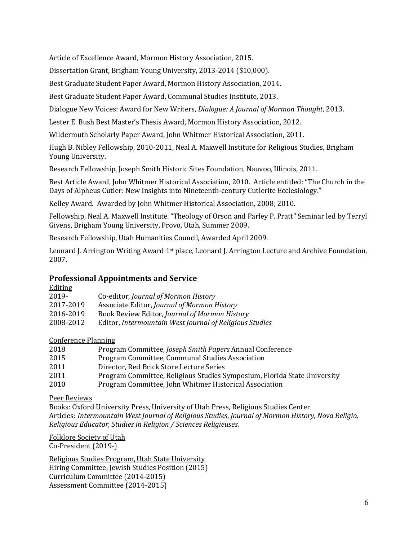Article of Excellence Award, Mormon History Association, 2015.

Dissertation Grant, Brigham Young University, 2013-2014 (\$10,000).

Best Graduate Student Paper Award, Mormon History Association, 2014.

Best Graduate Student Paper Award, Communal Studies Institute, 2013.

Dialogue New Voices: Award for New Writers, *Dialogue: A Journal of Mormon Thought*, 2013.

Lester E. Bush Best Master's Thesis Award, Mormon History Association, 2012.

Wildermuth Scholarly Paper Award, John Whitmer Historical Association, 2011.

Hugh B. Nibley Fellowship, 2010-2011, Neal A. Maxwell Institute for Religious Studies, Brigham Young University.

Research Fellowship, Joseph Smith Historic Sites Foundation, Nauvoo, Illinois, 2011.

Best Article Award, John Whitmer Historical Association, 2010. Article entitled: "The Church in the Days of Alpheus Cutler: New Insights into Nineteenth-century Cutlerite Ecclesiology."

Kelley Award. Awarded by John Whitmer Historical Association, 2008; 2010.

Fellowship, Neal A. Maxwell Institute. "Theology of Orson and Parley P. Pratt" Seminar led by Terryl Givens, Brigham Young University, Provo, Utah, Summer 2009.

Research Fellowship, Utah Humanities Council, Awarded April 2009.

Leonard J. Arrington Writing Award 1<sup>st</sup> place, Leonard J. Arrington Lecture and Archive Foundation, 2007.

# **Professional Appointments and Service**

| <b>Editing</b> |                                                         |
|----------------|---------------------------------------------------------|
| 2019-          | Co-editor, Journal of Mormon History                    |
| 2017-2019      | Associate Editor, Journal of Mormon History             |
| 2016-2019      | Book Review Editor, Journal of Mormon History           |
| 2008-2012      | Editor, Intermountain West Journal of Religious Studies |

### Conference Planning

| 2018 | Program Committee, Joseph Smith Papers Annual Conference                 |
|------|--------------------------------------------------------------------------|
| 2015 | Program Committee, Communal Studies Association                          |
| 2011 | Director, Red Brick Store Lecture Series                                 |
| 2011 | Program Committee, Religious Studies Symposium, Florida State University |
| 2010 | Program Committee, John Whitmer Historical Association                   |

### Peer Reviews

Books: Oxford University Press, University of Utah Press, Religious Studies Center Articles: Intermountain West Journal of Religious Studies, Journal of Mormon History, Nova Religio, *Religious Educator, Studies in Religion / Sciences Religieuses.* 

Folklore Society of Utah

Co-President (2019-)

Religious Studies Program, Utah State University Hiring Committee, Jewish Studies Position (2015) Curriculum Committee (2014-2015) Assessment Committee (2014-2015)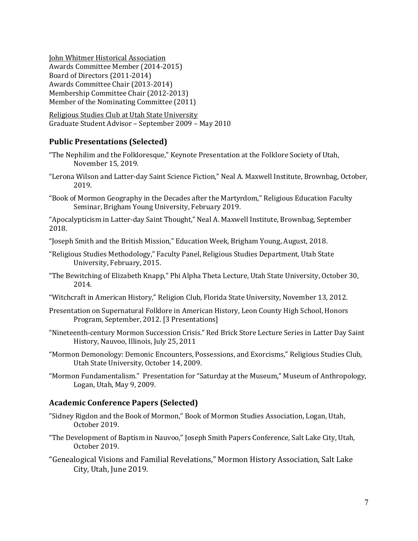**John Whitmer Historical Association** Awards Committee Member (2014-2015) Board of Directors (2011-2014) Awards Committee Chair (2013-2014) Membership Committee Chair (2012-2013) Member of the Nominating Committee (2011)

Religious Studies Club at Utah State University Graduate Student Advisor - September 2009 - May 2010

### **Public Presentations (Selected)**

- "The Nephilim and the Folkloresque," Keynote Presentation at the Folklore Society of Utah, November 15, 2019.
- "Lerona Wilson and Latter-day Saint Science Fiction," Neal A. Maxwell Institute, Brownbag, October, 2019.
- "Book of Mormon Geography in the Decades after the Martyrdom," Religious Education Faculty Seminar, Brigham Young University, February 2019.

"Apocalypticism in Latter-day Saint Thought," Neal A. Maxwell Institute, Brownbag, September 2018.

- "Joseph Smith and the British Mission," Education Week, Brigham Young, August, 2018.
- "Religious Studies Methodology," Faculty Panel, Religious Studies Department, Utah State University, February, 2015.
- "The Bewitching of Elizabeth Knapp," Phi Alpha Theta Lecture, Utah State University, October 30, 2014.
- "Witchcraft in American History," Religion Club, Florida State University, November 13, 2012.
- Presentation on Supernatural Folklore in American History, Leon County High School, Honors Program, September, 2012. [3 Presentations]
- "Nineteenth-century Mormon Succession Crisis." Red Brick Store Lecture Series in Latter Day Saint History, Nauvoo, Illinois, July 25, 2011
- "Mormon Demonology: Demonic Encounters, Possessions, and Exorcisms," Religious Studies Club, Utah State University, October 14, 2009.

"Mormon Fundamentalism." Presentation for "Saturday at the Museum," Museum of Anthropology, Logan, Utah, May 9, 2009.

#### **Academic Conference Papers (Selected)**

- "Sidney Rigdon and the Book of Mormon," Book of Mormon Studies Association, Logan, Utah, October 2019.
- "The Development of Baptism in Nauvoo," Joseph Smith Papers Conference, Salt Lake City, Utah, October 2019.
- "Genealogical Visions and Familial Revelations," Mormon History Association, Salt Lake City, Utah, June 2019.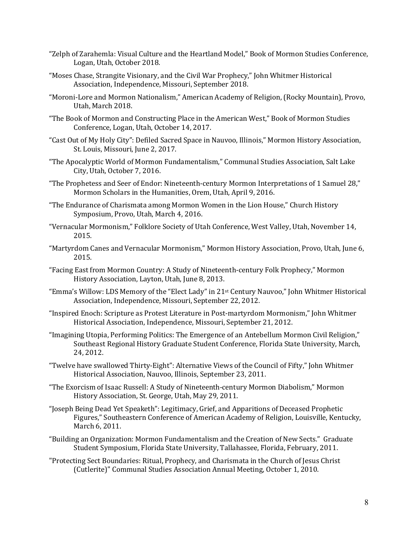- "Zelph of Zarahemla: Visual Culture and the Heartland Model," Book of Mormon Studies Conference, Logan, Utah, October 2018.
- "Moses Chase, Strangite Visionary, and the Civil War Prophecy," John Whitmer Historical Association, Independence, Missouri, September 2018.
- "Moroni-Lore and Mormon Nationalism," American Academy of Religion, (Rocky Mountain), Provo, Utah, March 2018.
- "The Book of Mormon and Constructing Place in the American West," Book of Mormon Studies Conference, Logan, Utah, October 14, 2017.
- "Cast Out of My Holy City": Defiled Sacred Space in Nauvoo, Illinois," Mormon History Association, St. Louis, Missouri, June 2, 2017.
- "The Apocalyptic World of Mormon Fundamentalism," Communal Studies Association, Salt Lake City, Utah, October 7, 2016.
- "The Prophetess and Seer of Endor: Nineteenth-century Mormon Interpretations of 1 Samuel 28," Mormon Scholars in the Humanities, Orem, Utah, April 9, 2016.
- "The Endurance of Charismata among Mormon Women in the Lion House," Church History Symposium, Provo, Utah, March 4, 2016.
- "Vernacular Mormonism," Folklore Society of Utah Conference, West Valley, Utah, November 14, 2015.
- "Martyrdom Canes and Vernacular Mormonism," Mormon History Association, Provo, Utah, June 6, 2015.
- "Facing East from Mormon Country: A Study of Nineteenth-century Folk Prophecy," Mormon History Association, Layton, Utah, June 8, 2013.
- "Emma's Willow: LDS Memory of the "Elect Lady" in 21<sup>st</sup> Century Nauvoo," John Whitmer Historical Association, Independence, Missouri, September 22, 2012.
- "Inspired Enoch: Scripture as Protest Literature in Post-martyrdom Mormonism," John Whitmer Historical Association, Independence, Missouri, September 21, 2012.
- "Imagining Utopia, Performing Politics: The Emergence of an Antebellum Mormon Civil Religion," Southeast Regional History Graduate Student Conference, Florida State University, March, 24, 2012.
- "Twelve have swallowed Thirty-Eight": Alternative Views of the Council of Fifty," John Whitmer Historical Association, Nauvoo, Illinois, September 23, 2011.
- "The Exorcism of Isaac Russell: A Study of Nineteenth-century Mormon Diabolism," Mormon History Association, St. George, Utah, May 29, 2011.
- "Joseph Being Dead Yet Speaketh": Legitimacy, Grief, and Apparitions of Deceased Prophetic Figures," Southeastern Conference of American Academy of Religion, Louisville, Kentucky, March 6, 2011.
- "Building an Organization: Mormon Fundamentalism and the Creation of New Sects." Graduate Student Symposium, Florida State University, Tallahassee, Florida, February, 2011.
- "Protecting Sect Boundaries: Ritual, Prophecy, and Charismata in the Church of Jesus Christ (Cutlerite)" Communal Studies Association Annual Meeting, October 1, 2010.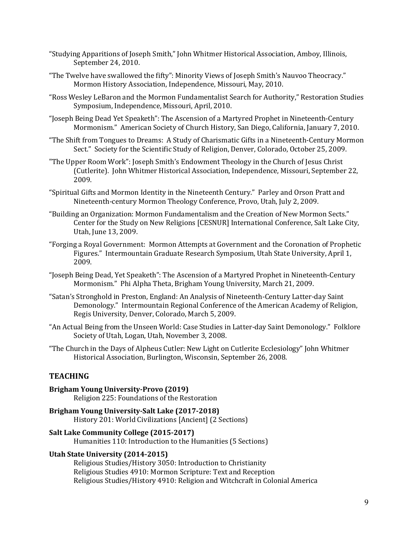- "Studying Apparitions of Joseph Smith," John Whitmer Historical Association, Amboy, Illinois, September 24, 2010.
- "The Twelve have swallowed the fifty": Minority Views of Joseph Smith's Nauvoo Theocracy." Mormon History Association, Independence, Missouri, May, 2010.
- "Ross Wesley LeBaron and the Mormon Fundamentalist Search for Authority," Restoration Studies Symposium, Independence, Missouri, April, 2010.
- "Joseph Being Dead Yet Speaketh": The Ascension of a Martyred Prophet in Nineteenth-Century Mormonism." American Society of Church History, San Diego, California, January 7, 2010.
- "The Shift from Tongues to Dreams: A Study of Charismatic Gifts in a Nineteenth-Century Mormon Sect." Society for the Scientific Study of Religion, Denver, Colorado, October 25, 2009.
- "The Upper Room Work": Joseph Smith's Endowment Theology in the Church of Jesus Christ (Cutlerite). John Whitmer Historical Association, Independence, Missouri, September 22, 2009.
- "Spiritual Gifts and Mormon Identity in the Nineteenth Century." Parley and Orson Pratt and Nineteenth-century Mormon Theology Conference, Provo, Utah, July 2, 2009.
- "Building an Organization: Mormon Fundamentalism and the Creation of New Mormon Sects." Center for the Study on New Religions [CESNUR] International Conference, Salt Lake City, Utah, June 13, 2009.
- "Forging a Royal Government: Mormon Attempts at Government and the Coronation of Prophetic Figures." Intermountain Graduate Research Symposium, Utah State University, April 1, 2009.
- "Joseph Being Dead, Yet Speaketh": The Ascension of a Martyred Prophet in Nineteenth-Century Mormonism." Phi Alpha Theta, Brigham Young University, March 21, 2009.
- "Satan's Stronghold in Preston, England: An Analysis of Nineteenth-Century Latter-day Saint Demonology." Intermountain Regional Conference of the American Academy of Religion, Regis University, Denver, Colorado, March 5, 2009.
- "An Actual Being from the Unseen World: Case Studies in Latter-day Saint Demonology." Folklore Society of Utah, Logan, Utah, November 3, 2008.
- "The Church in the Days of Alpheus Cutler: New Light on Cutlerite Ecclesiology" John Whitmer Historical Association, Burlington, Wisconsin, September 26, 2008.

### **TEACHING**

- **Brigham Young University-Provo (2019)** Religion 225: Foundations of the Restoration
- Brigham Young University-Salt Lake (2017-2018) History 201: World Civilizations [Ancient] (2 Sections)

#### **Salt Lake Community College (2015-2017)**

Humanities 110: Introduction to the Humanities (5 Sections)

### Utah State University (2014-2015)

Religious Studies/History 3050: Introduction to Christianity Religious Studies 4910: Mormon Scripture: Text and Reception Religious Studies/History 4910: Religion and Witchcraft in Colonial America